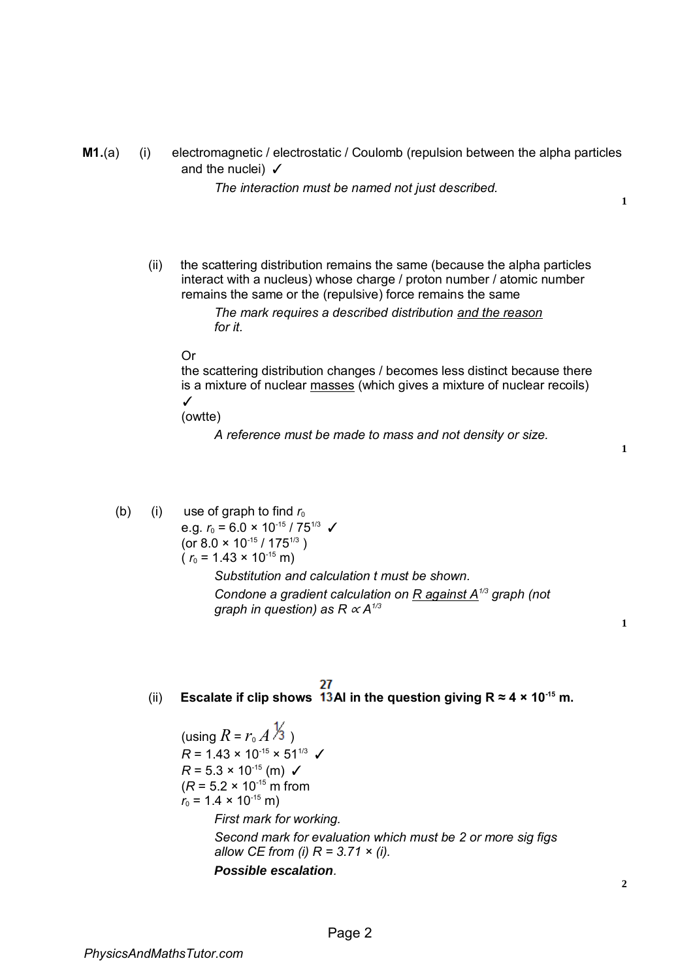**M1.**(a) (i) electromagnetic / electrostatic / Coulomb (repulsion between the alpha particles and the nuclei)  $\checkmark$ 

*The interaction must be named not just described.* 

**1**

(ii) the scattering distribution remains the same (because the alpha particles interact with a nucleus) whose charge / proton number / atomic number remains the same or the (repulsive) force remains the same

> *The mark requires a described distribution and the reason for it.*

## Or

the scattering distribution changes / becomes less distinct because there is a mixture of nuclear masses (which gives a mixture of nuclear recoils) ✓

(owtte)

*A reference must be made to mass and not density or size.* 

**1**

- (b) (i) use of graph to find  $r_0$ e.g.  $r_0 = 6.0 \times 10^{-15} / 75^{1/3}$ (or  $8.0 \times 10^{-15}$  /  $175^{1/3}$ )  $(r_0 = 1.43 \times 10^{-15} \text{ m})$ *Substitution and calculation t must be shown. Condone a gradient calculation on R against A1/3 graph (not graph in question) as R*  $\propto$  *A<sup>1/3</sup>* 
	- 27

(ii) **Escalate if clip shows 13Al in the question giving**  $R \approx 4 \times 10^{-15}$  **m.** 

(using  $R = r_0 A \frac{1}{3}$ )  $R = 1.43 \times 10^{-15} \times 51^{1/3}$  $R = 5.3 \times 10^{-15}$  (m)  $\checkmark$  $(R = 5.2 \times 10^{-15} \text{ m from}$  $r_0$  = 1.4 × 10<sup>-15</sup> m) *First mark for working. Second mark for evaluation which must be 2 or more sig figs allow CE from (i) R = 3.71 × (i). Possible escalation.*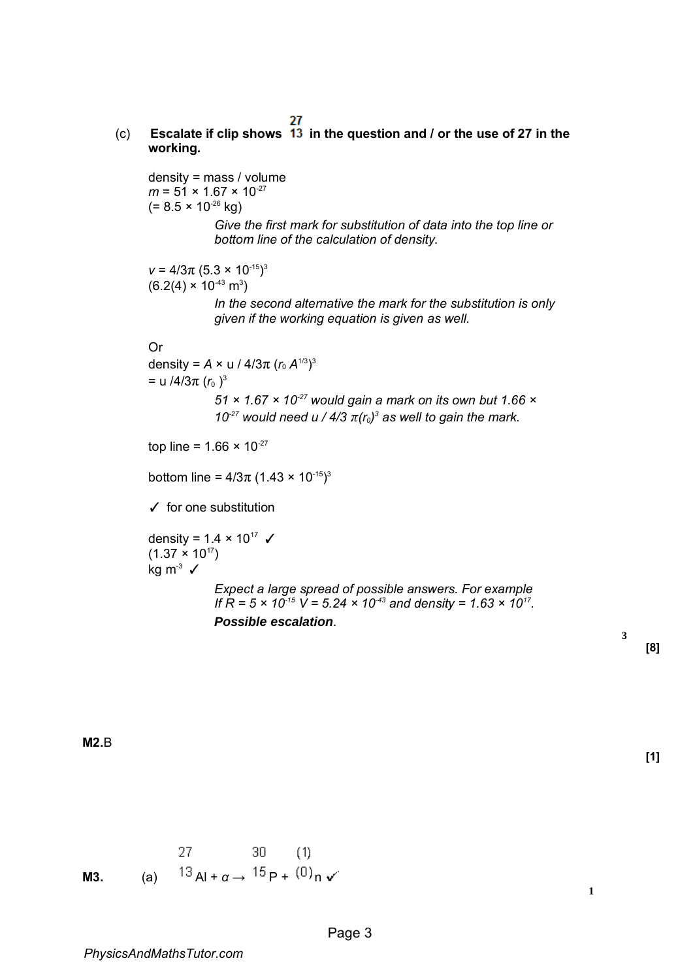## (c) **Escalate if clip shows in the question and / or the use of 27 in the working.**

density = mass / volume  $m = 51 \times 1.67 \times 10^{-27}$  $(= 8.5 \times 10^{-26}$  kg) *Give the first mark for substitution of data into the top line or bottom line of the calculation of density.*   $v = 4/3\pi (5.3 \times 10^{-15})^3$  $(6.2(4) \times 10^{-43} \text{ m}^3)$ *In the second alternative the mark for the substitution is only given if the working equation is given as well.*  Or density =  $A \times u / 4/3\pi (r_0 A^{1/3})^3$  $=$  u /4/3π ( $r_0$ )<sup>3</sup> *51 × 1.67 × 10-27 would gain a mark on its own but 1.66 ×*  10<sup>-27</sup> would need u / 4/3  $\pi(r_0)^3$  as well to gain the mark. top line =  $1.66 \times 10^{-27}$ bottom line =  $4/3\pi$  (1.43 × 10<sup>-15</sup>)<sup>3</sup>  $\checkmark$  for one substitution density =  $1.4 \times 10^{17}$   $\checkmark$  $(1.37 \times 10^{17})$  $kg m<sup>3</sup>$  ✓ *Expect a large spread of possible answers. For example If*  $R = 5 \times 10^{-15}$  V = 5.24  $\times 10^{-43}$  and density = 1.63  $\times 10^{17}$ . *Possible escalation.* 

**[8]** 

**[1]** 

**3**

**M2.**B

 $30(1)$  $27 \quad \cdots$ **M3.** (a)  ${}^{13}$  Al +  $\alpha \rightarrow {}^{15}$  P +  ${}^{(0)}$  n  $\checkmark$ 

**1**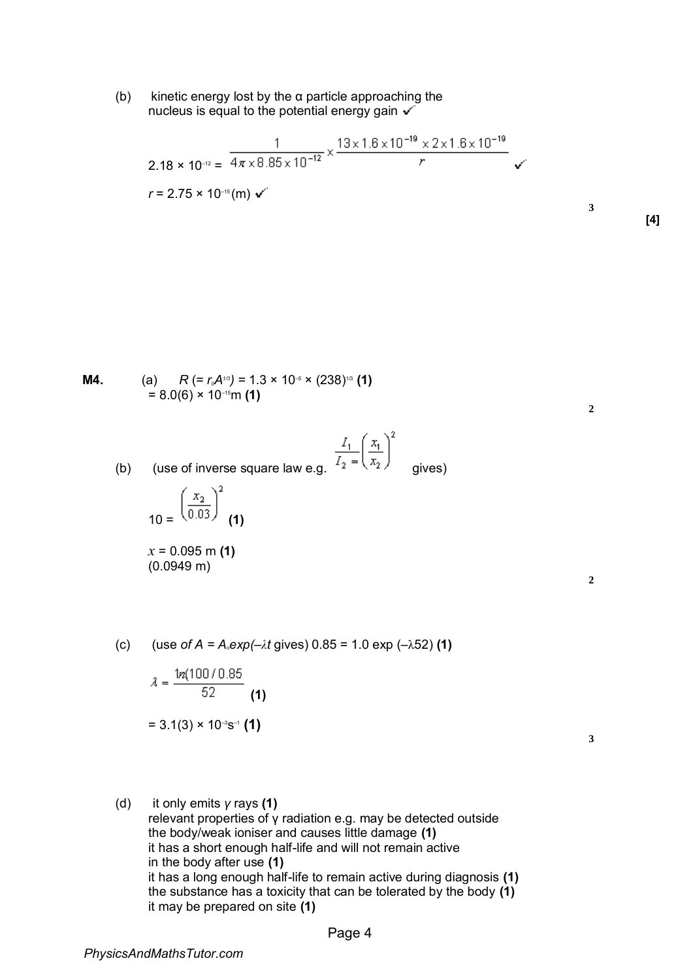(b) kinetic energy lost by the  $\alpha$  particle approaching the nucleus is equal to the potential energy gain  $\checkmark$ 

$$
2.18 \times 10^{-12} = \frac{1}{4\pi \times 8.85 \times 10^{-12}} \times \frac{13 \times 1.6 \times 10^{-19} \times 2 \times 1.6 \times 10^{-19}}{r}
$$
  
r = 2.75 × 10<sup>-16</sup> (m) v

**M4.** (a) 
$$
R = r_o A^{r/3} = 1.3 \times 10^{-5} \times (238)^{1/3}
$$
 (1)  
= 8.0(6) × 10<sup>-15</sup>m (1)

(b) (use of inverse square law e.g. 
$$
\frac{I_1}{I_2} = \left(\frac{x_1}{x_2}\right)^2
$$
 gives)

$$
10 = \left(\frac{x_2}{0.03}\right)^2 \quad (1)
$$

*x* = 0.095 m **(1)**  (0.0949 m)

**2** 

**2** 

**3** 

**[4]** 

(c) (use *of A = A<sub><i>o*</sub></sub>exp(– $\lambda$ *t* gives) 0.85 = 1.0 exp (– $\lambda$ 52) (1)

$$
\hat{\lambda} = \frac{1n(100/0.85)}{52}
$$
  
= 3.1(3) × 10<sup>-3</sup>s<sup>-1</sup> (1)

**3** 

(d) it only emits *γ* rays **(1)**  relevant properties of γ radiation e.g. may be detected outside the body/weak ioniser and causes little damage **(1)**  it has a short enough half-life and will not remain active in the body after use **(1)**  it has a long enough half-life to remain active during diagnosis **(1)**  the substance has a toxicity that can be tolerated by the body **(1)**  it may be prepared on site **(1)**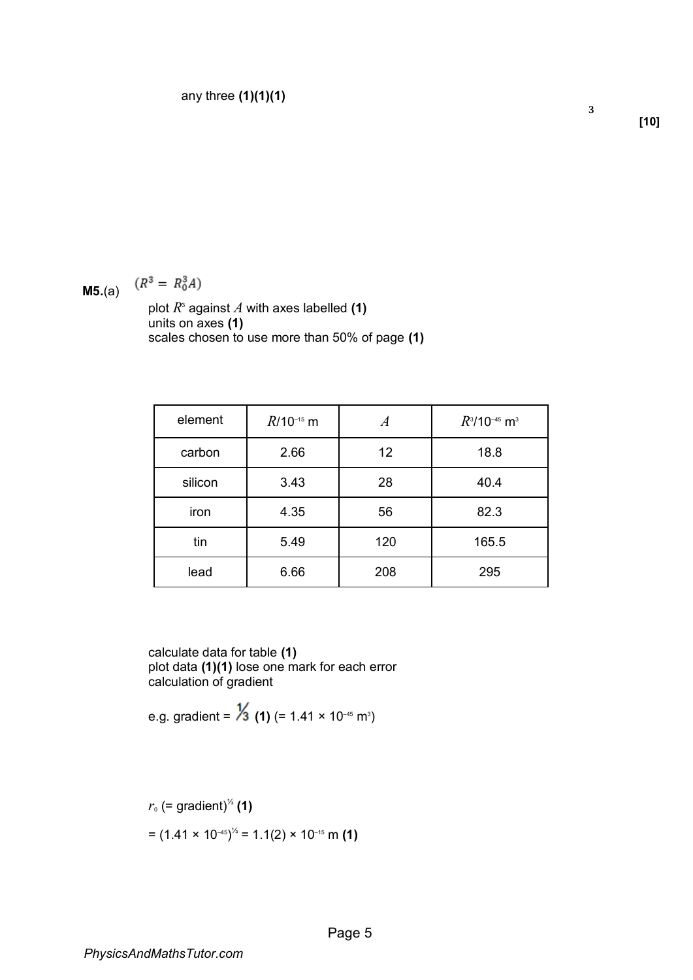**M5.**(a)  $(R^3 = R_0^3 A)$ 

plot  $R^{\text{s}}$  against  $A$  with axes labelled **(1)** units on axes **(1)**  scales chosen to use more than 50% of page **(1)** 

| element | $R/10^{-15}$ m |     | $R^3$ /10 <sup>-45</sup> m <sup>3</sup> |
|---------|----------------|-----|-----------------------------------------|
| carbon  | 2.66           | 12  | 18.8                                    |
| silicon | 3.43           | 28  | 40.4                                    |
| iron    | 4.35           | 56  | 82.3                                    |
| tin     | 5.49           | 120 | 165.5                                   |
| lead    | 6.66           | 208 | 295                                     |

calculate data for table **(1)**  plot data **(1)(1)** lose one mark for each error calculation of gradient

e.g. gradient = **(1)** (= 1.41 × 10–45 m<sup>3</sup> )

$$
r_0
$$
 (= gradient)<sup>1/3</sup> (1)  
=  $(1.41 \times 10^{-45})^{1/3} = 1.1(2) \times 10^{-15}$  m (1)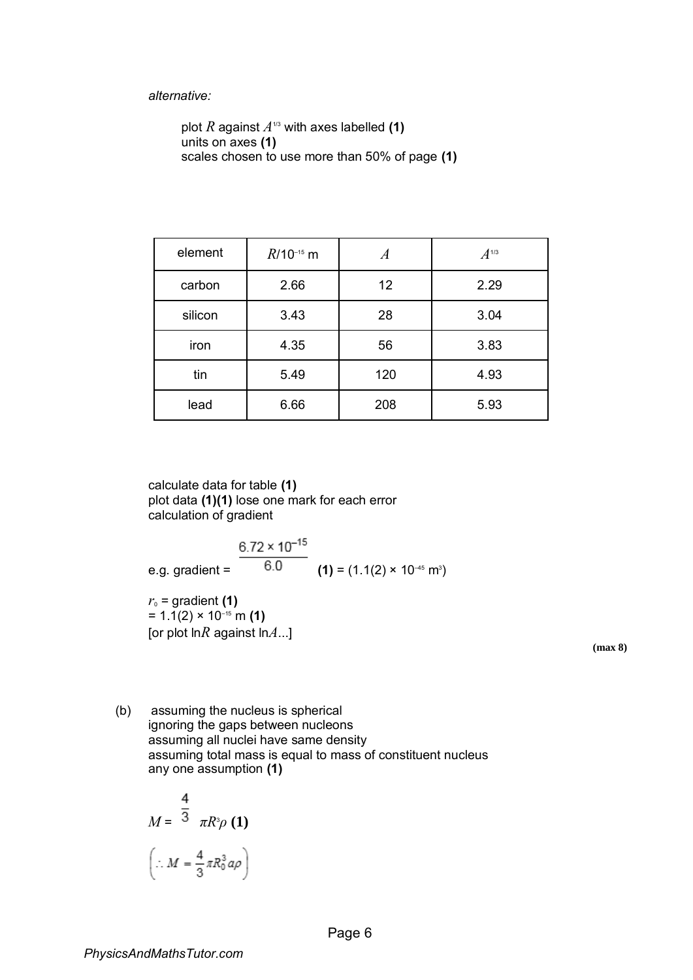## *alternative:*

```
plot R against A^{\text{1/3}} with axes labelled (1)
units on axes (1) 
scales chosen to use more than 50% of page (1)
```

| element | $R/10^{-15}$ m | A   | $A$ <sup>1/3</sup> |
|---------|----------------|-----|--------------------|
| carbon  | 2.66           | 12  | 2.29               |
| silicon | 3.43           | 28  | 3.04               |
| iron    | 4.35           | 56  | 3.83               |
| tin     | 5.49           | 120 | 4.93               |
| lead    | 6.66           | 208 | 5.93               |

calculate data for table **(1)**  plot data **(1)(1)** lose one mark for each error calculation of gradient

 $6.72 \times 10^{-15}$ e.g. gradient =  $0.0$  (1) = (1.1(2) × 10<sup>-45</sup> m<sup>3</sup>)  $r_0$  = gradient **(1)**  $= 1.1(2) \times 10^{-15}$  m (1) [or plot ln*R* against ln*A*...]

**(max 8)** 

(b) assuming the nucleus is spherical ignoring the gaps between nucleons assuming all nuclei have same density assuming total mass is equal to mass of constituent nucleus any one assumption **(1)** 

$$
M = \frac{4}{3} \pi R^3 \rho (1)
$$

$$
\left(\therefore M = \frac{4}{3} \pi R_0^3 a \rho\right)
$$